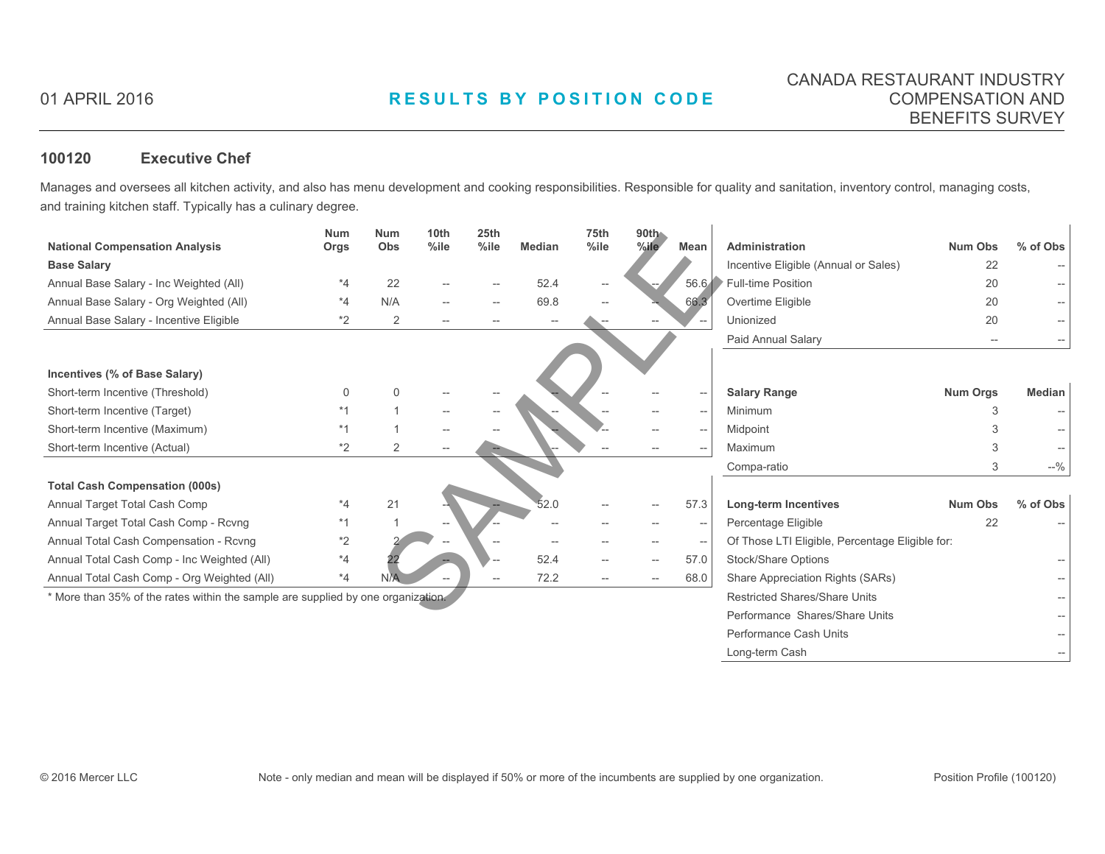# 01 APRIL 2016 **RESULTS BY POSITION CODE**

### **100120 Executive Chef**

Manages and oversees all kitchen activity, and also has menu development and cooking responsibilities. Responsible for quality and sanitation, inventory control, managing costs, and training kitchen staff. Typically has a culinary degree.

|                                                                                  | <b>Num</b> | <b>Num</b>     | 10 <sub>th</sub> | 25th    |               | 75th    | 90th                                |             |                                                 |                |               |  |
|----------------------------------------------------------------------------------|------------|----------------|------------------|---------|---------------|---------|-------------------------------------|-------------|-------------------------------------------------|----------------|---------------|--|
| <b>National Compensation Analysis</b>                                            | Orgs       | Obs            | %ile             | $%$ ile | <b>Median</b> | $%$ ile | $%$ ile                             | <b>Mean</b> | Administration                                  | <b>Num Obs</b> | % of Obs      |  |
| <b>Base Salary</b>                                                               |            |                |                  |         |               |         |                                     |             | Incentive Eligible (Annual or Sales)            | 22             |               |  |
| Annual Base Salary - Inc Weighted (All)                                          | $*_{4}$    | 22             |                  |         | 52.4          |         |                                     |             | 56.6 Full-time Position                         | 20             |               |  |
| Annual Base Salary - Org Weighted (All)                                          | *4         | N/A            |                  |         | 69.8          |         | 66.3                                |             | Overtime Eligible                               | 20             |               |  |
| Annual Base Salary - Incentive Eligible                                          | *2         | $\overline{2}$ |                  |         |               |         |                                     |             | Unionized                                       | 20             |               |  |
|                                                                                  |            |                |                  |         |               |         |                                     |             | Paid Annual Salary                              |                |               |  |
|                                                                                  |            |                |                  |         |               |         |                                     |             |                                                 |                |               |  |
| Incentives (% of Base Salary)                                                    |            |                |                  |         |               |         |                                     |             |                                                 |                |               |  |
| Short-term Incentive (Threshold)                                                 |            |                |                  |         |               |         |                                     |             | <b>Salary Range</b>                             | Num Orgs       | <b>Median</b> |  |
| Short-term Incentive (Target)                                                    |            |                |                  |         |               |         |                                     |             | Minimum                                         |                |               |  |
| Short-term Incentive (Maximum)                                                   |            |                |                  |         |               |         | --                                  |             | Midpoint                                        |                |               |  |
| Short-term Incentive (Actual)                                                    | *2         | 2              |                  |         |               |         |                                     |             | Maximum                                         |                |               |  |
|                                                                                  |            |                |                  |         |               |         |                                     |             | Compa-ratio                                     |                | $-9/0$        |  |
| <b>Total Cash Compensation (000s)</b>                                            |            |                |                  |         |               |         |                                     |             |                                                 |                |               |  |
| Annual Target Total Cash Comp                                                    | *4         | 21             |                  |         | 52.0          |         |                                     | 57.3        | Long-term Incentives                            | <b>Num Obs</b> | % of Obs      |  |
| Annual Target Total Cash Comp - Rcvng                                            |            |                |                  |         |               |         | --                                  |             | Percentage Eligible                             | 22             |               |  |
| Annual Total Cash Compensation - Rcvng                                           | *2         |                |                  |         |               |         |                                     |             | Of Those LTI Eligible, Percentage Eligible for: |                |               |  |
| Annual Total Cash Comp - Inc Weighted (All)                                      | *4         |                |                  |         | 52.4          |         | $\hspace{0.05cm}$ $\hspace{0.05cm}$ | 57.0        | Stock/Share Options                             |                |               |  |
| Annual Total Cash Comp - Org Weighted (All)                                      | *4         |                |                  |         | 72.2          |         | $-\!$                               | 68.0        | Share Appreciation Rights (SARs)                |                |               |  |
| * More than 35% of the rates within the sample are supplied by one organization. |            |                |                  |         |               |         |                                     |             | <b>Restricted Shares/Share Units</b>            |                |               |  |
|                                                                                  |            |                |                  |         |               |         |                                     |             | Performance Shares/Share Units                  |                |               |  |

Performance Cash Units

Long-term Cash